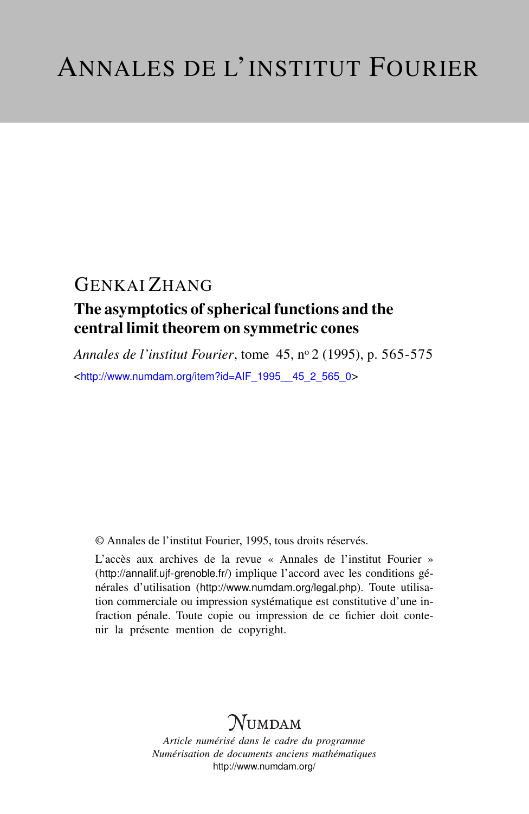# GENKAI ZHANG

## The asymptotics of spherical functions and the central limit theorem on symmetric cones

*Annales de l'institut Fourier*, tome 45, n<sup>o</sup> 2 (1995), p. 565-575 <[http://www.numdam.org/item?id=AIF\\_1995\\_\\_45\\_2\\_565\\_0](http://www.numdam.org/item?id=AIF_1995__45_2_565_0)>

© Annales de l'institut Fourier, 1995, tous droits réservés.

L'accès aux archives de la revue « Annales de l'institut Fourier » (<http://annalif.ujf-grenoble.fr/>) implique l'accord avec les conditions générales d'utilisation (<http://www.numdam.org/legal.php>). Toute utilisation commerciale ou impression systématique est constitutive d'une infraction pénale. Toute copie ou impression de ce fichier doit contenir la présente mention de copyright.

# NUMDAM

*Article numérisé dans le cadre du programme Numérisation de documents anciens mathématiques* <http://www.numdam.org/>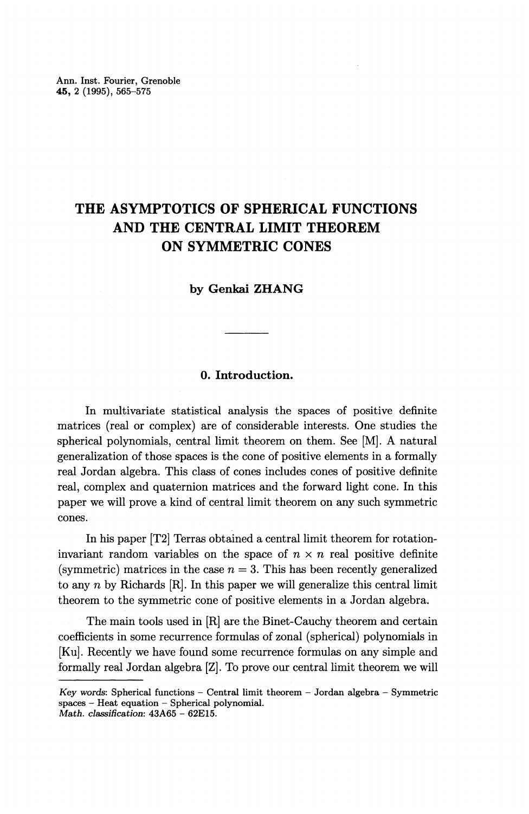## **THE ASYMPTOTICS OF SPHERICAL FUNCTIONS AND THE CENTRAL LIMIT THEOREM ON SYMMETRIC CONES**

#### **by Genkai ZHANG**

### **0. Introduction.**

In multivariate statistical analysis the spaces of positive definite matrices (real or complex) are of considerable interests. One studies the spherical polynomials, central limit theorem on them. See [M]. A natural generalization of those spaces is the cone of positive elements in a formally real Jordan algebra. This class of cones includes cones of positive definite real, complex and quaternion matrices and the forward light cone. In this paper we will prove a kind of central limit theorem on any such symmetric cones.

In his paper [T2] Terras obtained a central limit theorem for rotationinvariant random variables on the space of  $n \times n$  real positive definite (symmetric) matrices in the case  $n = 3$ . This has been recently generalized to any *n* by Richards [R]. In this paper we will generalize this central limit theorem to the symmetric cone of positive elements in a Jordan algebra.

The main tools used in [R] are the Binet-Cauchy theorem and certain coefficients in some recurrence formulas of zonal (spherical) polynomials in [Ku]. Recently we have found some recurrence formulas on any simple and formally real Jordan algebra [Z]. To prove our central limit theorem we will

*Key words'.* Spherical functions — Central limit theorem — Jordan algebra — Symmetric spaces - Heat equation - Spherical polynomial. *Math. classification:* 43A65 - 62E15.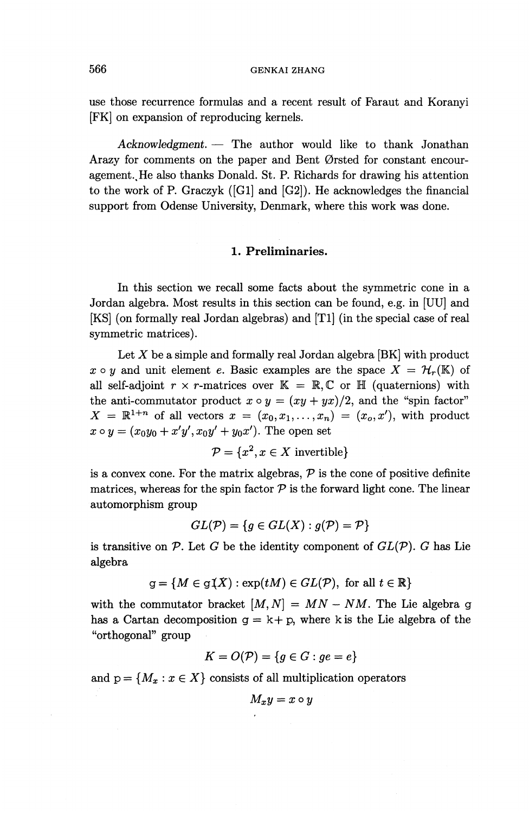use those recurrence formulas and a recent result of Faraut and Koranyi [FK] on expansion of reproducing kernels.

*Acknowledgment. —* The author would like to thank Jonathan Arazy for comments on the paper and Bent Ørsted for constant encouragement.. He also thanks Donald. St. P. Richards for drawing his attention to the work of P. Graczyk ([Gl] and [G2]). He acknowledges the financial support from Odense University, Denmark, where this work was done.

### **1. Preliminaries.**

In this section we recall some facts about the symmetric cone in a Jordan algebra. Most results in this section can be found, e.g. in [UU] and [KS] (on formally real Jordan algebras) and [Tl] (in the special case of real symmetric matrices).

Let *X* be a simple and formally real Jordan algebra [BK] with product  $x \circ y$  and unit element e. Basic examples are the space  $X = H_r(\mathbb{K})$  of all self-adjoint  $r \times r$ -matrices over  $\mathbb{K} = \mathbb{R}, \mathbb{C}$  or  $\mathbb{H}$  (quaternions) with the anti-commutator product  $x \circ y = (xy + yx)/2$ , and the "spin factor"  $X = \mathbb{R}^{1+n}$  of all vectors  $x = (x_0, x_1, \ldots, x_n) = (x_0, x')$ , with product  $x \circ y = (x_0y_0 + x'y', x_0y' + y_0x')$ . The open set

$$
\mathcal{P} = \{x^2, x \in X \text{ invertible}\}\
$$

is a convex cone. For the matrix algebras,  $P$  is the cone of positive definite matrices, whereas for the spin factor  $P$  is the forward light cone. The linear automorphism group

$$
GL(\mathcal{P}) = \{ g \in GL(X) : g(\mathcal{P}) = \mathcal{P} \}
$$

is transitive on *P.* Let *G* be the identity component of *GL(P). G* has Lie algebra

$$
g = \{ M \in g(\hat{X}) : \exp(tM) \in GL(\mathcal{P}), \text{ for all } t \in \mathbb{R} \}
$$

with the commutator bracket  $[M, N] = MN - NM$ . The Lie algebra g has a Cartan decomposition  $g = k + p$ , where k is the Lie algebra of the "orthogonal" group

$$
K = O(\mathcal{P}) = \{g \in G : ge = e\}
$$

and  $p = \{M_x : x \in X\}$  consists of all multiplication operators

$$
M_xy=x\circ y
$$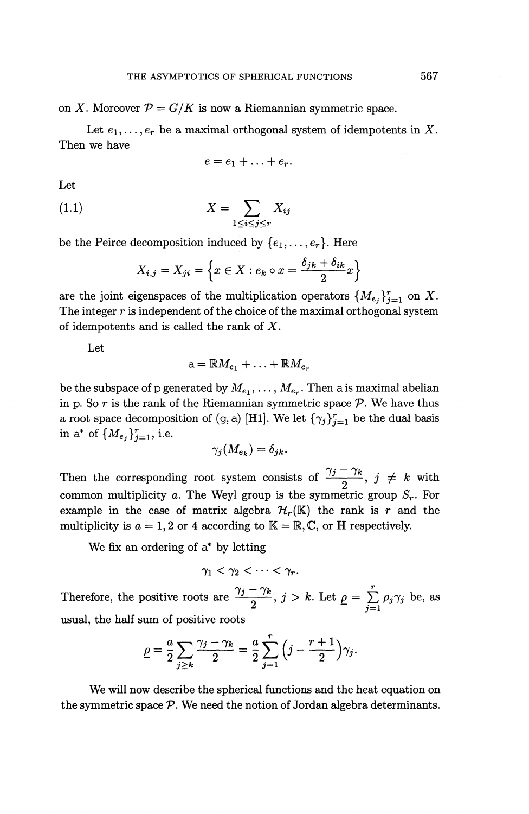on X. Moreover  $P = G/K$  is now a Riemannian symmetric space.

Let  $e_1, \ldots, e_r$  be a maximal orthogonal system of idempotents in X. Then we have

$$
e=e_1+\ldots+e_r.
$$

Let

Let  
(1.1) 
$$
X = \sum_{1 \leq i \leq j \leq r} X_{ij}
$$

be the Peirce decomposition induced by  $\{e_1, \ldots, e_r\}$ . Here

$$
1 \le i \le j \le r
$$
  
decomposition induced by {*e*<sub>1</sub>,..., *e*<sub>r</sub>}. Here  

$$
X_{i,j} = X_{ji} = \left\{ x \in X : e_k \circ x = \frac{\delta_{jk} + \delta_{ik}}{2} x \right\}
$$

are the joint eigenspaces of the multiplication operators  $\{M_{e_i}\}_{i=1}^r$  on X The integer *r* is independent of the choice of the maximal orthogonal system of idempotents and is called the rank of *X.*

Let

$$
a = \mathbb{R}M_{e_1} + \ldots + \mathbb{R}M_{e_r}
$$

be the subspace of p generated by  $M_{e_1}, \ldots, M_{e_r}$ . Then a is maximal abelian in p. So  $r$  is the rank of the Riemannian symmetric space  $P$ . We have thus a root space decomposition of (g, a) [H1]. We let  $\{\gamma_j\}_{j=1}^r$  be the dual basis in a<sup>\*</sup> of  $\{M_{e_j}\}_{j=1}^r$ , i.e.

 $\gamma_i(M_{e_k})=\delta_{jk}.$ 

Then the corresponding root system consists of  $\frac{\gamma_j - \gamma_k}{\gamma_k}$ ,  $j \neq k$  with common multiplicity a. The Weyl group is the symmetric group  $S_r$ . For example in the case of matrix algebra  $\mathcal{H}_r(\mathbb{K})$  the rank is r and the multiplicity is  $a = 1, 2$  or 4 according to  $K = \mathbb{R}, \mathbb{C}$ , or  $\mathbb{H}$  respectively.

We fix an ordering of a\* by letting

 $\gamma_1 < \gamma_2 < \cdots < \gamma_r$ .

Therefore, the positive roots are  $\frac{\gamma_j - \gamma_k}{2}$ ,  $j > k$ . Let  $\rho = \sum_{j=1}^r \rho_j \gamma_j$  be, as usual, the half sum of positive root

$$
\underline{\rho} = \frac{a}{2} \sum_{j \geq k} \frac{\gamma_j - \gamma_k}{2} = \frac{a}{2} \sum_{j=1}^r \left( j - \frac{r+1}{2} \right) \gamma_j.
$$

We will now describe the spherical functions and the heat equation on the symmetric space *P.* We need the notion of Jordan algebra determinants.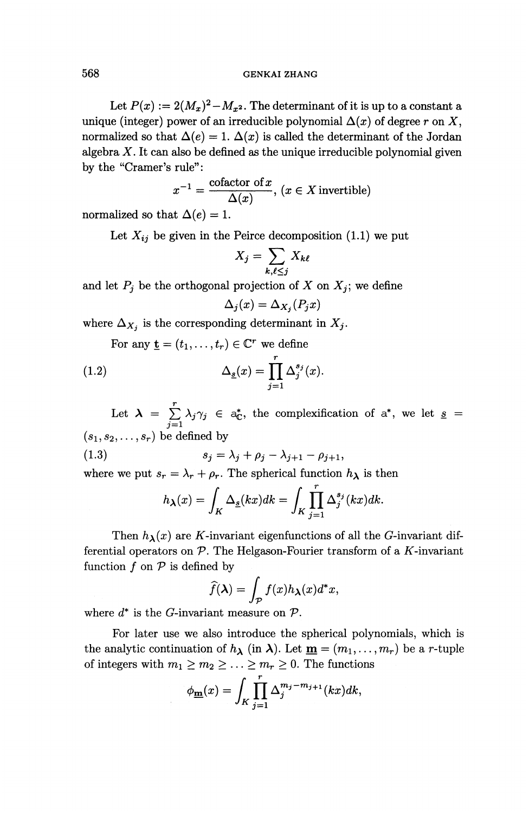Let  $P(x) := 2(M_x)^2 - M_{x^2}$ . The determinant of it is up to a constant a unique (integer) power of an irreducible polynomial  $\Delta(x)$  of degree r on X, normalized so that  $\Delta(e) = 1$ .  $\Delta(x)$  is called the determinant of the Jordan algebra  $X$ . It can also be defined as the unique irreducible polynomial given by the "Cramer's rule":

$$
x^{-1} = \frac{\text{cofactor of } x}{\Delta(x)}, \ (x \in X \text{ invertible})
$$

normalized so that  $\Delta(e) = 1$ .

Let  $X_{ij}$  be given in the Peirce decomposition (1.1) we put<br> $X_j = \sum_{k} X_{k\ell}$ 

$$
X_j = \sum_{k,\ell \leq j} X_{k\ell}
$$

and let  $P_j$  be the orthogonal projection of X on  $X_j$ ; we define

$$
\Delta_j(x)=\Delta_{X_j}(P_jx)
$$

where  $\Delta_{X_i}$  is the corresponding determinant in  $X_j$ .

For any  $\underline{\mathbf{t}} = (t_1, \dots, t_r) \in \mathbb{C}^r$  we define

(1.2) 
$$
\Delta_{\underline{s}}(x) = \prod_{j=1}^r \Delta_j^{s_j}(x).
$$

Let  $\lambda = \sum_{i=1}^r \lambda_i \gamma_i \in a_{\mathbb{C}}^*$ , the complexification of  $a^*$ , we let  $\underline{s} =$  $\sum_{j=1}$  $(s_1, s_2,\ldots, s_r)$  be defined by

(1.3)  $s_j = \lambda_j + \rho_j - \lambda_{j+1} - \rho_{j+1},$ 

where we put  $s_r = \lambda_r + \rho_r$ . The spherical function  $h_\lambda$  is then

$$
h_{\lambda}(x) = \int_{K} \Delta_{\underline{s}}(kx) dk = \int_{K} \prod_{j=1}^{r} \Delta_{j}^{s_{j}}(kx) dk.
$$

Then  $h_{\lambda}(x)$  are K-invariant eigenfunctions of all the G-invariant differential operators on  $P$ . The Helgason-Fourier transform of a  $K$ -invariant function  $f$  on  $P$  is defined by

$$
\widehat{f}(\lambda) = \int_{\mathcal{P}} f(x) h_{\lambda}(x) d^*x,
$$

where  $d^*$  is the *G*-invariant measure on  $\mathcal{P}$ .

For later use we also introduce the spherical polynomials, which is the analytic continuation of  $h_{\lambda}$  (in  $\lambda$ ). Let  $\underline{\mathbf{m}} = (m_1, \ldots, m_r)$  be a *r*-tuple of integers with  $m_1 \ge m_2 \ge \ldots \ge m_r \ge 0$ . The functions

$$
\phi_{\mathbf{m}}(x) = \int_K \prod_{j=1}^r \Delta_j^{m_j - m_{j+1}}(kx) dk,
$$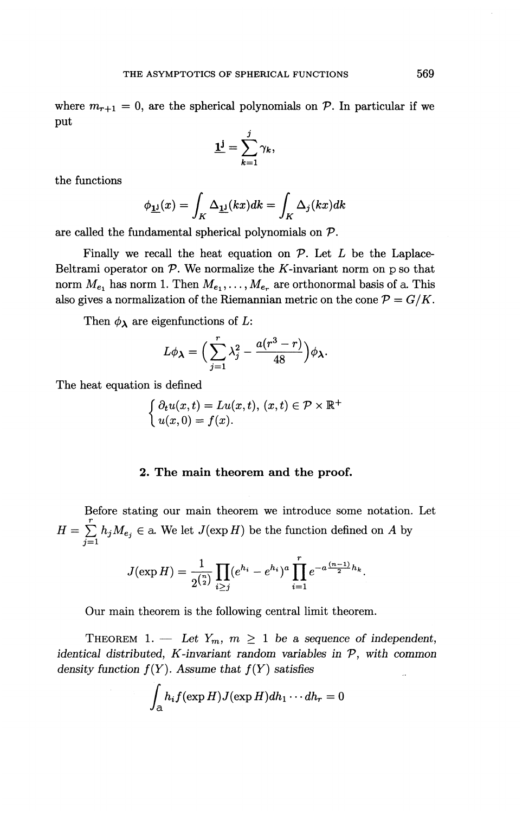where  $m_{r+1} = 0$ , are the spherical polynomials on P. In particular if we put

$$
\underline{\mathbf{1}}^{\mathbf{j}} = \sum_{k=1}^j \gamma_k,
$$

the functions

$$
\phi_{\mathbf{1} \mathbf{1}}(x) = \int_K \Delta_{\mathbf{1} \mathbf{1}}(kx) dk = \int_K \Delta_j(kx) dk
$$

are called the fundamental spherical polynomials on *P.*

Finally we recall the heat equation on *P.* Let *L* be the Laplace-Beltrami operator on  $P$ . We normalize the K-invariant norm on p so that norm  $M_{e_1}$  has norm 1. Then  $M_{e_1}, \ldots, M_{e_r}$  are orthonormal basis of a. This also gives a normalization of the Riemannian metric on the cone  $P = G/K$ .

Then  $\phi_{\lambda}$  are eigenfunctions of L:

$$
L\phi_{\lambda} = \left(\sum_{j=1}^{r} \lambda_j^2 - \frac{a(r^3 - r)}{48}\right)\phi_{\lambda}.
$$

The heat equation is defined

$$
\begin{cases} \partial_t u(x,t) = Lu(x,t), (x,t) \in \mathcal{P} \times \mathbb{R}^+ \\ u(x,0) = f(x). \end{cases}
$$

#### **2. The main theorem and the proof.**

Before stating our main theorem we introduce some notation. Let  $\frac{r}{1-r}$  $H = \sum_{i=1}^{r} h_j M_{e_j} \in \mathbb{R}$ . We let  $J(\exp H)$  be the function defined on A by  $\sum_{j=1}$ 

$$
J(\exp H) = \frac{1}{2^{\binom{n}{2}}} \prod_{i \geq j} (e^{h_i} - e^{h_i})^a \prod_{i=1}^r e^{-a \frac{(n-1)}{2} h_k}.
$$

Our main theorem is the following central limit theorem.

THEOREM 1. — Let  $Y_m$ ,  $m \geq 1$  be a sequence of independent, *identical distributed, K-invariant random variables in P, with common density function f(Y). Assume that f(Y) satisfies*

$$
\int_{\mathcal{A}} h_i f(\exp H) J(\exp H) dh_1 \cdots dh_r = 0
$$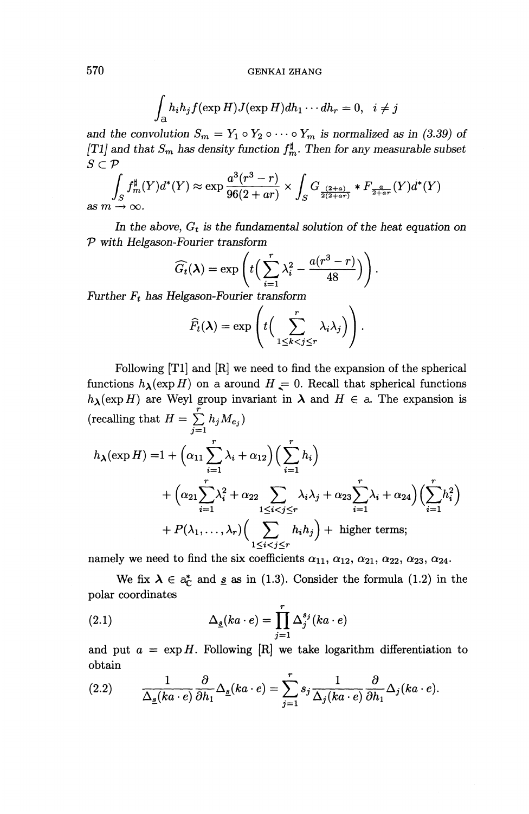$$
\int_{\mathcal{A}} h_i h_j f(\exp H) J(\exp H) dh_1 \cdots dh_r = 0, \quad i \neq j
$$

and the convolution  $S_m = Y_1 \circ Y_2 \circ \cdots \circ Y_m$  is normalized as in (3.39) of *[T1] and that*  $S_m$  has density function  $f^{\sharp}_m$ . Then for any measurable subset  $S \subset \mathcal{P}$ 

$$
\int_{S} f_m^{\sharp}(Y) d^*(Y) \approx \exp \frac{a^3 (r^3 - r)}{96(2 + ar)} \times \int_{S} G_{\frac{(2+a)}{2(2+a\tau)}} * F_{\frac{a}{2+ar}}(Y) d^*(Y)
$$
as  $m \to \infty$ .

In the above,  $G_t$  is the fundamental solution of the heat equation on *P with Helgason-Fourier transform*

-Fourier transform  
\n
$$
\widehat{G}_t(\lambda) = \exp\left(t\Big(\sum_{i=1}^r \lambda_i^2 - \frac{a(r^3 - r)}{48}\Big)\right).
$$
\n
$$
L = \sum_{i=1}^r \lambda_i^2 - \frac{a(r^3 - r)}{48}
$$

*Further F<sub>t</sub> has Helgason-Fourier transform* 

$$
\widehat{F}_t(\boldsymbol{\lambda}) = \exp\left(t\Big(\sum_{1 \leq k < j \leq r}^r \lambda_i \lambda_j\Big)\right).
$$

Following [Tl] and [R] we need to find the expansion of the spherical functions  $h_{\lambda}(\exp H)$  on a around  $H = 0$ . Recall that spherical functions  $h_{\lambda}(\exp H)$  are Weyl group invariant in  $\lambda$  and  $H \in \mathcal{A}$ . The expansion is  $r^2$  (recalling that  $H = \sum_{j=1}^r h_j M_{e_j}$ )

$$
h_{\lambda}(\exp H) = 1 + \left(\alpha_{11} \sum_{i=1}^{r} \lambda_i + \alpha_{12}\right) \left(\sum_{i=1}^{r} h_i\right)
$$
  
+ 
$$
\left(\alpha_{21} \sum_{i=1}^{r} \lambda_i^2 + \alpha_{22} \sum_{1 \leq i < j \leq r} \lambda_i \lambda_j + \alpha_{23} \sum_{i=1}^{r} \lambda_i + \alpha_{24}\right) \left(\sum_{i=1}^{r} h_i^2\right)
$$
  
+ 
$$
P(\lambda_1, \dots, \lambda_r) \left(\sum_{1 \leq i < j \leq r} h_i h_j\right) + \text{ higher terms};
$$

namely we need to find the six coefficients  $\alpha_{11}, \alpha_{12}, \alpha_{21}, \alpha_{22}, \alpha_{23}, \alpha_{24}$ .

We fix  $\lambda \in a_{\mathbb{C}}^*$  and <u>s</u> as in (1.3). Consider the formula (1.2) in the polar coordinates

(2.1) 
$$
\Delta_{\underline{s}}(ka \cdot e) = \prod_{j=1}^r \Delta_j^{s_j}(ka \cdot e)
$$

and put  $a = \exp H$ . Following  $[R]$  we take logarithm differentiation to obtain

(2.2) 
$$
\frac{1}{\Delta_{\underline{s}}(ka \cdot e)} \frac{\partial}{\partial h_1} \Delta_{\underline{s}}(ka \cdot e) = \sum_{j=1}^r s_j \frac{1}{\Delta_j(ka \cdot e)} \frac{\partial}{\partial h_1} \Delta_j(ka \cdot e).
$$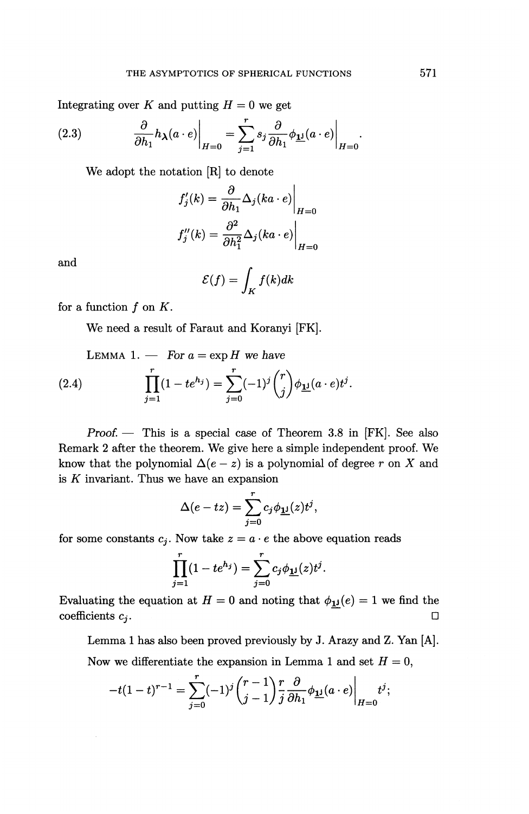Integrating over K and putting 
$$
H = 0
$$
 we get  
\n(2.3) 
$$
\frac{\partial}{\partial h_1} h_\lambda(a \cdot e) \Big|_{H=0} = \sum_{j=1}^r s_j \frac{\partial}{\partial h_1} \phi_{\underline{\mathbf{1}}^j}(a \cdot e) \Big|_{H=0}
$$

We adopt the notation [R] to denote

$$
f'_j(k) = \frac{\partial}{\partial h_1} \Delta_j(ka \cdot e) \Big|_{H=0}
$$
  

$$
f''_j(k) = \frac{\partial^2}{\partial h_1^2} \Delta_j(ka \cdot e) \Big|_{H=0}
$$

and

$$
\mathcal{E}(f) = \int_K f(k)dk
$$

for a function  $f$  on  $K$ .

We need a result of Faraut and Koranyi [FK].

LEMMA 1. — For 
$$
a = \exp H
$$
 we have  
\n(2.4) 
$$
\prod_{j=1}^{r} (1 - te^{h_j}) = \sum_{j=0}^{r} (-1)^j {r \choose j} \phi_{\mathbf{1} \mathbf{1}}(a \cdot e) t^j.
$$

Proof. — This is a special case of Theorem 3.8 in [FK]. See also Remark 2 after the theorem. We give here a simple independent proof. We know that the polynomial  $\Delta(e-z)$  is a polynomial of degree r on X and is *K* invariant. Thus we have an expansion

$$
\Delta(e-tz) = \sum_{j=0}^r c_j \phi_{\mathbf{1} \mathbf{j}}(z) t^j,
$$

for some constants  $c_j$ . Now take  $z = a \cdot e$  the above equation reads

$$
\prod_{j=1}^{r} (1 - te^{h_j}) = \sum_{j=0}^{r} c_j \phi_{\mathbf{1} \mathbf{1}}(z) t^j.
$$

Evaluating the equation at  $H = 0$  and noting that  $\phi_{\mathbf{1} \mathbf{j}}(e) = 1$  we find the coefficients  $c_j$ .

Lemma 1 has also been proved previously by J. Arazy and Z. Yan [A]. Now we differentiate the expansion in Lemma 1 and set *H =* 0,

$$
-t(1-t)^{r-1}=\sum_{j=0}^r(-1)^j\binom{r-1}{j-1}\frac{r}{j}\frac{\partial}{\partial h_1}\phi_{\underline{\mathbf{1}^j}}(a\cdot e)\bigg|_{H=0}t^j;
$$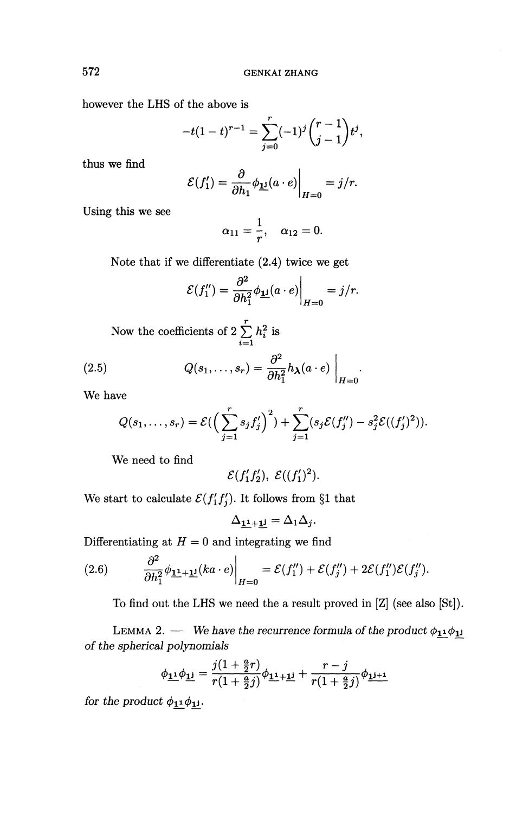however the LHS of the above is

$$
-t(1-t)^{r-1} = \sum_{j=0}^r (-1)^j \binom{r-1}{j-1} t^j,
$$

thus we find

$$
\mathcal{E}(f_1') = \frac{\partial}{\partial h_1} \phi_{\mathbf{1}'}(a \cdot e) \bigg|_{H=0} = j/r.
$$

Using this we see

$$
\alpha_{11}=\frac{1}{r},\quad \alpha_{12}=0.
$$

Note that if we differentiate (2.4) twice we get

$$
\mathcal{E}(f_1'') = \frac{\partial^2}{\partial h_1^2} \phi_{\mathbf{\underline{1}}}(a \cdot e) \bigg|_{H=0} = j/r.
$$

Now the coefficients of  $2\sum_{i=1}^{r} h_i^2$  is  $\sum_{i=1}$ 

(2.5) 
$$
Q(s_1,\ldots,s_r) = \frac{\partial^2}{\partial h_1^2} h_{\lambda}(a \cdot e) \bigg|_{H=0}.
$$

**We have**

$$
Q(s_1,\ldots,s_r) = \mathcal{E}(\left(\sum_{j=1}^r s_j f'_j\right)^2) + \sum_{j=1}^r (s_j \mathcal{E}(f''_j) - s_j^2 \mathcal{E}((f'_j)^2)).
$$

We need to find

$$
\mathcal{E}(f_1'f_2'), \ \mathcal{E}((f_1')^2).
$$

We start to calculate  $\mathcal{E}(f'_1f'_j)$ . It follows from §1 that

$$
\Delta_{\underline{\mathbf{1}}^{\underline{\mathbf{1}}}+\underline{\mathbf{1}}^{\underline{\mathbf{j}}}}=\Delta_1\Delta_j.
$$

Differentiating at  $H = 0$  and integrating we find

(2.6) 
$$
\frac{\partial^2}{\partial h_1^2} \phi_{\mathbf{1}^1 + \mathbf{1}^1}(ka \cdot e) \Big|_{H=0} = \mathcal{E}(f_1'') + \mathcal{E}(f_j'') + 2\mathcal{E}(f_1'')\mathcal{E}(f_j'').
$$

To find out the LHS we need the a result proved in [Z] (see also [St]).

LEMMA 2. — We have the recurrence formula of the product  $\phi_{11}\phi_{1j}$ 

of the spherical polynomials  
\n
$$
\phi_{\mathbf{1}^1}\phi_{\mathbf{1}^j} = \frac{j(1+\frac{a}{2}r)}{r(1+\frac{a}{2}j)}\phi_{\mathbf{1}^1+\mathbf{1}^j} + \frac{r-j}{r(1+\frac{a}{2}j)}\phi_{\mathbf{1}^{j+1}}
$$

*for the product*  $\phi_{11} \phi_{11}$ .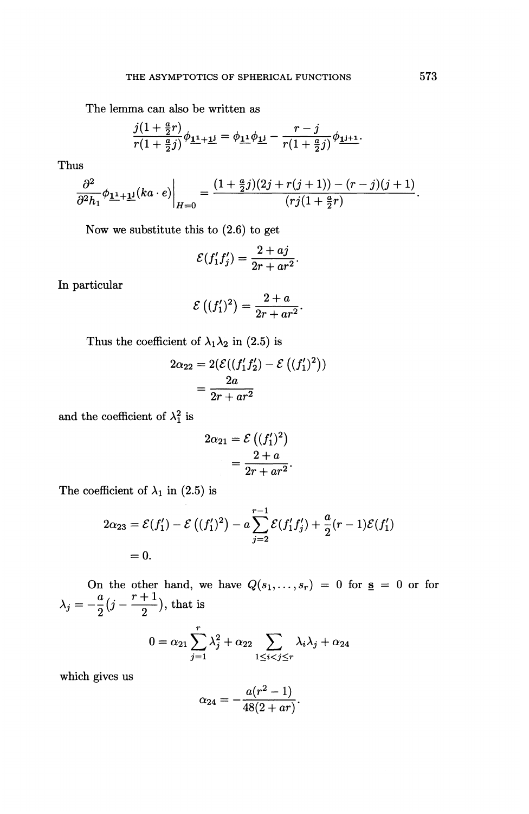The lemma can also be written as

na can also be written as  
\n
$$
\frac{j(1+\frac{a}{2}r)}{r(1+\frac{a}{2}j)}\phi_{\frac{11}{2}+\frac{11}{2}} = \phi_{\frac{11}{2}}\phi_{\frac{11}{2}} - \frac{r-j}{r(1+\frac{a}{2}j)}\phi_{\frac{11}{2}+\frac{1}{2}}.
$$

Thus

$$
\frac{\partial^2}{\partial^2 h_1}\phi_{\mathbf{\underline{1}}+\mathbf{\underline{1}}\mathbf{\underline{1}}}(ka \cdot e)\Big|_{H=0} = \frac{(1+\frac{a}{2}j)(2j + r(j+1)) - (r-j)(j+1)}{(rj(1+\frac{a}{2}r)}.
$$

Now we substitute this to (2.6) to get  
\n
$$
\mathcal{E}(f'_1 f'_j) = \frac{2 + aj}{2r + ar^2}.
$$

In particular

$$
\mathcal{E}\left((f_1')^2\right) = \frac{2+a}{2r+ar^2}.
$$

Thus the coefficient of  $\lambda_1 \lambda_2$  in (2.5) is

$$
2\alpha_{22} = 2(\mathcal{E}((f_1'f_2') - \mathcal{E}((f_1')^2))
$$
  
= 
$$
\frac{2a}{2r + ar^2}
$$

and the coefficient of  $\lambda_1^2$  is

$$
2\alpha_{21} = \mathcal{E}\left((f_1')^2\right)
$$
  
= 
$$
\frac{2+a}{2r+ar^2}.
$$

The coefficient of  $\lambda_1$  in (2.5) is

$$
2\alpha_{23} = \mathcal{E}(f'_1) - \mathcal{E}((f'_1)^2) - a \sum_{j=2}^{r-1} \mathcal{E}(f'_1 f'_j) + \frac{a}{2}(r-1)\mathcal{E}(f'_1) = 0.
$$

On the other hand, we have  $Q(s_1,...,s_r) = 0$  for  $s = 0$  or for  $\lambda_j = -\frac{a}{2}(j - \frac{r+1}{2})$ , that is

$$
0 = \alpha_{21} \sum_{j=1}^r \lambda_j^2 + \alpha_{22} \sum_{1 \le i < j \le r} \lambda_i \lambda_j + \alpha_{24}
$$

which gives us

$$
\alpha_{24} = -\frac{a(r^2-1)}{48(2+ar)}.
$$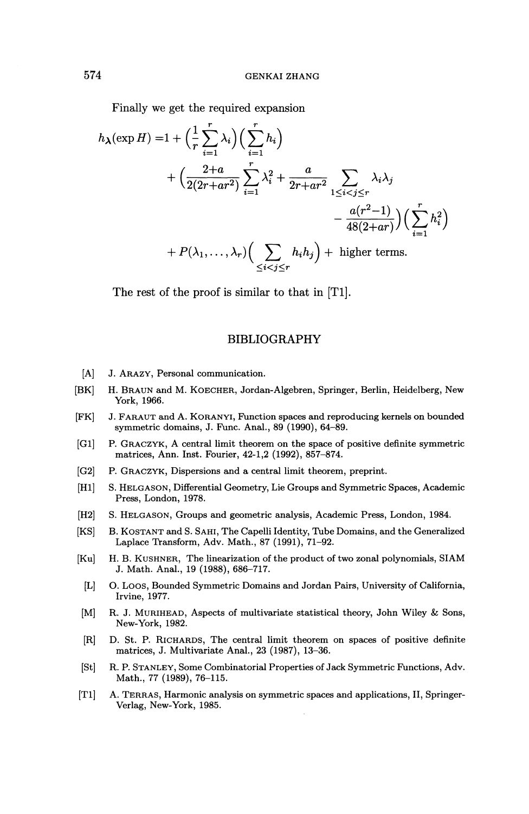Finally we get the required expansion

$$
h_{\lambda}(\exp H) = 1 + \left(\frac{1}{r}\sum_{i=1}^{r} \lambda_i\right) \left(\sum_{i=1}^{r} h_i\right)
$$
  
+ 
$$
\left(\frac{2+a}{2(2r+ar^2)}\sum_{i=1}^{r} \lambda_i^2 + \frac{a}{2r+ar^2} \sum_{1 \leq i < j \leq r} \lambda_i \lambda_j - \frac{a(r^2-1)}{48(2+ar)}\right) \left(\sum_{i=1}^{r} h_i^2\right)
$$
  
+ 
$$
P(\lambda_1, \ldots, \lambda_r) \left(\sum_{\leq i < j \leq r} h_i h_j\right) + \text{ higher terms.}
$$

The rest of the proof is similar to that in [T1].

#### BIBLIOGRAPHY

- [A] J. ARAZY, Personal communication.
- [BK] H. BRAUN and M. KOECHER, Jordan-Algebren, Springer, Berlin, Heidelberg, New York, 1966.
- [FK] J. FARAUT and A. KORANYI, Function spaces and reproducing kernels on bounded symmetric domains, J. Func. Anal., 89 (1990), 64-89.
- [Gl] P. GRACZYK, A central limit theorem on the space of positive definite symmetric matrices, Ann. Inst. Fourier, 42-1,2 (1992), 857-874.
- [G2] P. GRACZYK, Dispersions and a central limit theorem, preprint.
- [HI] S. HELGASON, Differential Geometry, Lie Groups and Symmetric Spaces, Academic Press, London, 1978.
- [H2] S. HELGASON, Groups and geometric analysis, Academic Press, London, 1984.
- [KS] B. KOSTANT and S. SAHI, The Capelli Identity, Tube Domains, and the Generalized Laplace Transform, Adv. Math., 87 (1991), 71-92.
- [Ku] H. B. KUSHNER, The linearization of the product of two zonal polynomials, SIAM J. Math. Anal., 19 (1988), 686-717.
- [L] 0. LOOS, Bounded Symmetric Domains and Jordan Pairs, University of California, Irvine, 1977.
- [M] R. J. MURIHEAD, Aspects of multivariate statistical theory, John Wiley & Sons, New-York, 1982.
- [R] D. St. P. RICHARDS, The central limit theorem on spaces of positive definite matrices, J. Multivariate Anal., 23 (1987), 13-36.
- [St] R. P. STANLEY, Some Combinatorial Properties of Jack Symmetric Functions, Adv. Math., 77 (1989), 76-115.
- [Tl] A. TERRAS, Harmonic analysis on symmetric spaces and applications, II, Springer-Verlag, New-York, 1985.